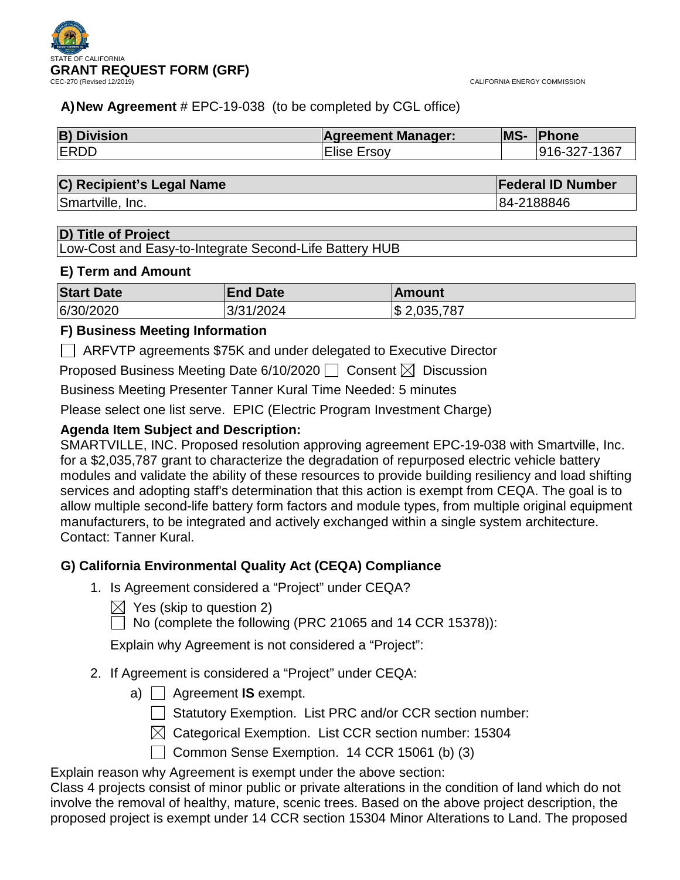

# **A)New Agreement** # EPC-19-038 (to be completed by CGL office)

| <b>B) Division</b> | <b>Agreement Manager:</b> | <b>MS-</b> | Phone        |
|--------------------|---------------------------|------------|--------------|
| <b>ERDD</b>        | <b>Elise Ersov</b>        |            | 916-327-1367 |

# **C) Recipient's Legal Name Federal ID Number**

Smartville, Inc. 65. The Smartville of the Smartville, Inc. 65. The Smartville of the Smartville of the Smartville of the Smartville of the Smartville of the Smartville of the Smartville of the Smartville of the Smartville

# **D) Title of Project**

Low-Cost and Easy-to-Integrate Second-Life Battery HUB

# **E) Term and Amount**

| <b>Start Date</b> | <b>End Date</b> | <b>Amount</b>   |
|-------------------|-----------------|-----------------|
| 6/30/2020         | 3/31/2024       | $\$\,2,035,787$ |

# **F) Business Meeting Information**

ARFVTP agreements \$75K and under delegated to Executive Director

Proposed Business Meeting Date 6/10/2020  $\Box$  Consent  $\boxtimes$  Discussion

Business Meeting Presenter Tanner Kural Time Needed: 5 minutes

Please select one list serve. EPIC (Electric Program Investment Charge)

# **Agenda Item Subject and Description:**

SMARTVILLE, INC. Proposed resolution approving agreement EPC-19-038 with Smartville, Inc. for a \$2,035,787 grant to characterize the degradation of repurposed electric vehicle battery modules and validate the ability of these resources to provide building resiliency and load shifting services and adopting staff's determination that this action is exempt from CEQA. The goal is to allow multiple second-life battery form factors and module types, from multiple original equipment manufacturers, to be integrated and actively exchanged within a single system architecture. Contact: Tanner Kural.

# **G) California Environmental Quality Act (CEQA) Compliance**

- 1. Is Agreement considered a "Project" under CEQA?
	- $\boxtimes$  Yes (skip to question 2)
	- $\Box$  No (complete the following (PRC 21065 and 14 CCR 15378)):

Explain why Agreement is not considered a "Project":

- 2. If Agreement is considered a "Project" under CEQA:
	- a) Agreement **IS** exempt.
		- Statutory Exemption. List PRC and/or CCR section number:
		- $\boxtimes$  Categorical Exemption. List CCR section number: 15304
		- Common Sense Exemption.  $14$  CCR 15061 (b) (3)

Explain reason why Agreement is exempt under the above section:

Class 4 projects consist of minor public or private alterations in the condition of land which do not involve the removal of healthy, mature, scenic trees. Based on the above project description, the proposed project is exempt under 14 CCR section 15304 Minor Alterations to Land. The proposed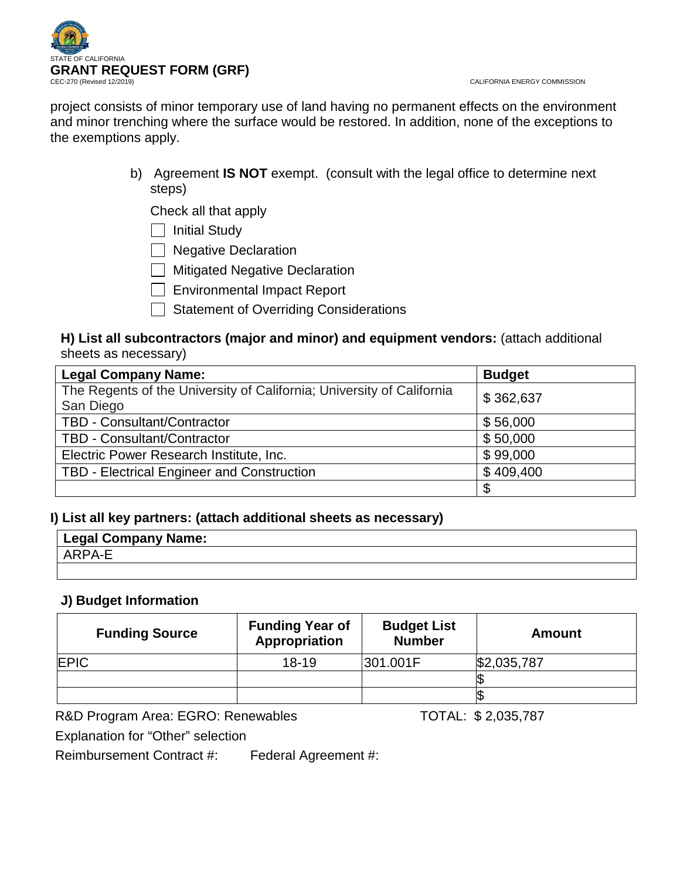

project consists of minor temporary use of land having no permanent effects on the environment and minor trenching where the surface would be restored. In addition, none of the exceptions to the exemptions apply.

> b) Agreement **IS NOT** exempt. (consult with the legal office to determine next steps)

Check all that apply

 $\Box$  Initial Study

**Negative Declaration** 

**Mitigated Negative Declaration** 

Environmental Impact Report

Statement of Overriding Considerations

# **H) List all subcontractors (major and minor) and equipment vendors:** (attach additional sheets as necessary)

| <b>Legal Company Name:</b>                                                         | <b>Budget</b> |
|------------------------------------------------------------------------------------|---------------|
| The Regents of the University of California; University of California<br>San Diego | \$362,637     |
| TBD - Consultant/Contractor                                                        | \$56,000      |
| <b>TBD - Consultant/Contractor</b>                                                 | \$50,000      |
| Electric Power Research Institute, Inc.                                            | \$99,000      |
| <b>TBD - Electrical Engineer and Construction</b>                                  | \$409,400     |
|                                                                                    | \$            |

# **I) List all key partners: (attach additional sheets as necessary)**

| Legal Company Name: |  |
|---------------------|--|
| ARPA-F              |  |
|                     |  |

# **J) Budget Information**

| <b>Funding Source</b> | <b>Funding Year of</b><br><b>Appropriation</b> | <b>Budget List</b><br><b>Number</b> | Amount      |
|-----------------------|------------------------------------------------|-------------------------------------|-------------|
| <b>EPIC</b>           | $18 - 19$                                      | 301.001F                            | \$2,035,787 |
|                       |                                                |                                     |             |
|                       |                                                |                                     |             |

R&D Program Area: EGRO: Renewables TOTAL: \$2,035,787

Explanation for "Other" selection

Reimbursement Contract #: Federal Agreement #: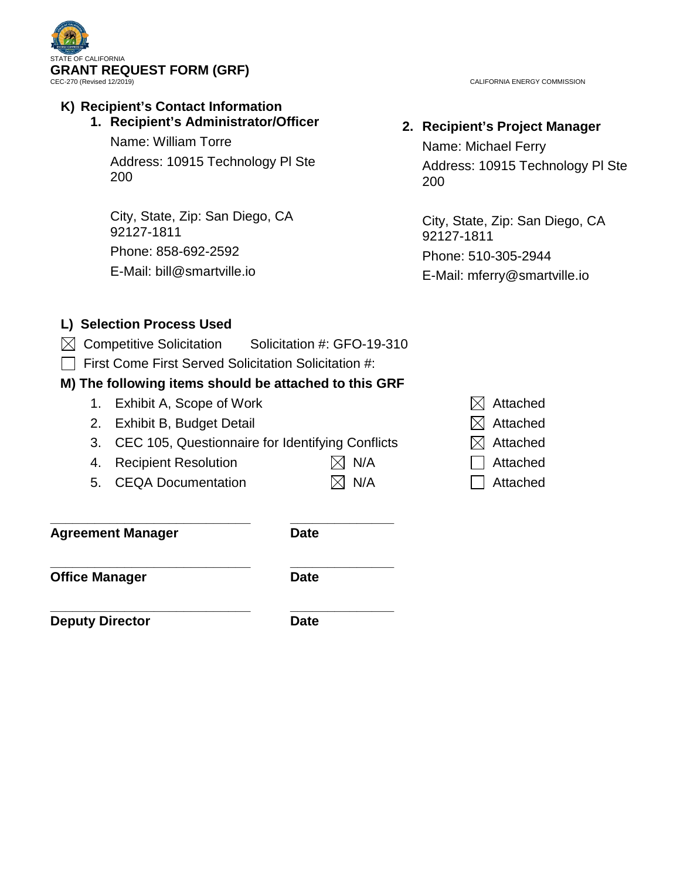

# **K) Recipient's Contact Information**

- **1. Recipient's Administrator/Officer**
	- Name: William Torre

Address: 10915 Technology Pl Ste 200

City, State, Zip: San Diego, CA 92127-1811 Phone: 858-692-2592 E-Mail: bill@smartville.io

#### CALIFORNIA ENERGY COMMISSION

# **2. Recipient's Project Manager**

Name: Michael Ferry Address: 10915 Technology Pl Ste 200

City, State, Zip: San Diego, CA 92127-1811 Phone: 510-305-2944 E-Mail: mferry@smartville.io

# **L) Selection Process Used**

- $\boxtimes$  Competitive Solicitation Solicitation #: GFO-19-310
- $\Box$  First Come First Served Solicitation Solicitation #:

# **M) The following items should be attached to this GRF**

- 1. Exhibit A, Scope of Work  $\boxtimes$  Attached
- 2. Exhibit B, Budget Detail  $\boxtimes$  Attached
- 3. CEC 105, Questionnaire for Identifying Conflicts  $\boxtimes$  Attached
- 4. Recipient Resolution  $\boxtimes$  N/A  $\Box$  Attached
- 5. CEQA Documentation  $\boxtimes$  N/A  $\Box$  Attached
- 

**Agreement Manager Date**

**\_\_\_\_\_\_\_\_\_\_\_\_\_\_\_\_\_\_\_\_\_\_\_\_\_\_\_ \_\_\_\_\_\_\_\_\_\_\_\_\_\_**

**Office Manager Date** 

**\_\_\_\_\_\_\_\_\_\_\_\_\_\_\_\_\_\_\_\_\_\_\_\_\_\_\_ \_\_\_\_\_\_\_\_\_\_\_\_\_\_**

**\_\_\_\_\_\_\_\_\_\_\_\_\_\_\_\_\_\_\_\_\_\_\_\_\_\_\_ \_\_\_\_\_\_\_\_\_\_\_\_\_\_ Deputy Director Date**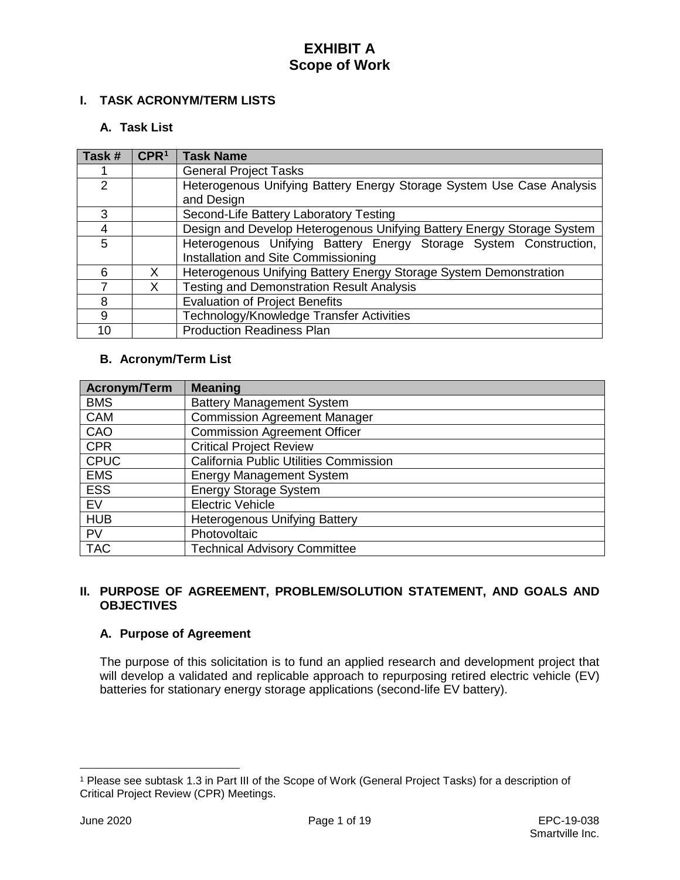# **I. TASK ACRONYM/TERM LISTS**

### **A. Task List**

| Task#         | CPR <sup>1</sup> | <b>Task Name</b>                                                       |  |  |
|---------------|------------------|------------------------------------------------------------------------|--|--|
|               |                  | <b>General Project Tasks</b>                                           |  |  |
| $\mathcal{P}$ |                  | Heterogenous Unifying Battery Energy Storage System Use Case Analysis  |  |  |
|               |                  | and Design                                                             |  |  |
| 3             |                  | Second-Life Battery Laboratory Testing                                 |  |  |
| 4             |                  | Design and Develop Heterogenous Unifying Battery Energy Storage System |  |  |
| 5             |                  | Heterogenous Unifying Battery Energy Storage System Construction,      |  |  |
|               |                  | Installation and Site Commissioning                                    |  |  |
| 6             | X                | Heterogenous Unifying Battery Energy Storage System Demonstration      |  |  |
|               | X                | <b>Testing and Demonstration Result Analysis</b>                       |  |  |
| 8             |                  | <b>Evaluation of Project Benefits</b>                                  |  |  |
| 9             |                  | Technology/Knowledge Transfer Activities                               |  |  |
| 10            |                  | <b>Production Readiness Plan</b>                                       |  |  |

#### **B. Acronym/Term List**

| <b>Acronym/Term</b> | <b>Meaning</b>                                |
|---------------------|-----------------------------------------------|
| <b>BMS</b>          | <b>Battery Management System</b>              |
| <b>CAM</b>          | <b>Commission Agreement Manager</b>           |
| CAO                 | Commission Agreement Officer                  |
| <b>CPR</b>          | <b>Critical Project Review</b>                |
| <b>CPUC</b>         | <b>California Public Utilities Commission</b> |
| <b>EMS</b>          | <b>Energy Management System</b>               |
| <b>ESS</b>          | <b>Energy Storage System</b>                  |
| EV                  | <b>Electric Vehicle</b>                       |
| <b>HUB</b>          | <b>Heterogenous Unifying Battery</b>          |
| <b>PV</b>           | Photovoltaic                                  |
| <b>TAC</b>          | <b>Technical Advisory Committee</b>           |

#### **II. PURPOSE OF AGREEMENT, PROBLEM/SOLUTION STATEMENT, AND GOALS AND OBJECTIVES**

#### **A. Purpose of Agreement**

The purpose of this solicitation is to fund an applied research and development project that will develop a validated and replicable approach to repurposing retired electric vehicle (EV) batteries for stationary energy storage applications (second-life EV battery).

 $\overline{a}$ 

<span id="page-3-0"></span><sup>1</sup> Please see subtask 1.3 in Part III of the Scope of Work (General Project Tasks) for a description of Critical Project Review (CPR) Meetings.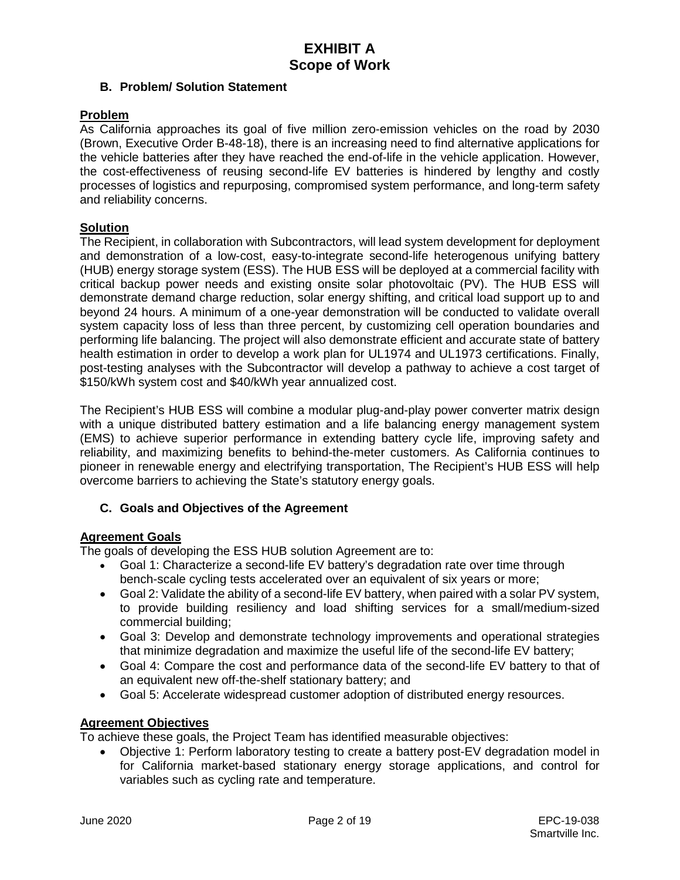### **B. Problem/ Solution Statement**

#### **Problem**

As California approaches its goal of five million zero-emission vehicles on the road by 2030 (Brown, Executive Order B-48-18), there is an increasing need to find alternative applications for the vehicle batteries after they have reached the end-of-life in the vehicle application. However, the cost-effectiveness of reusing second-life EV batteries is hindered by lengthy and costly processes of logistics and repurposing, compromised system performance, and long-term safety and reliability concerns.

### **Solution**

The Recipient, in collaboration with Subcontractors, will lead system development for deployment and demonstration of a low-cost, easy-to-integrate second-life heterogenous unifying battery (HUB) energy storage system (ESS). The HUB ESS will be deployed at a commercial facility with critical backup power needs and existing onsite solar photovoltaic (PV). The HUB ESS will demonstrate demand charge reduction, solar energy shifting, and critical load support up to and beyond 24 hours. A minimum of a one-year demonstration will be conducted to validate overall system capacity loss of less than three percent, by customizing cell operation boundaries and performing life balancing. The project will also demonstrate efficient and accurate state of battery health estimation in order to develop a work plan for UL1974 and UL1973 certifications. Finally, post-testing analyses with the Subcontractor will develop a pathway to achieve a cost target of \$150/kWh system cost and \$40/kWh year annualized cost.

The Recipient's HUB ESS will combine a modular plug-and-play power converter matrix design with a unique distributed battery estimation and a life balancing energy management system (EMS) to achieve superior performance in extending battery cycle life, improving safety and reliability, and maximizing benefits to behind-the-meter customers. As California continues to pioneer in renewable energy and electrifying transportation, The Recipient's HUB ESS will help overcome barriers to achieving the State's statutory energy goals.

# **C. Goals and Objectives of the Agreement**

#### **Agreement Goals**

The goals of developing the ESS HUB solution Agreement are to:

- Goal 1: Characterize a second-life EV battery's degradation rate over time through bench-scale cycling tests accelerated over an equivalent of six years or more;
- Goal 2: Validate the ability of a second-life EV battery, when paired with a solar PV system, to provide building resiliency and load shifting services for a small/medium-sized commercial building;
- Goal 3: Develop and demonstrate technology improvements and operational strategies that minimize degradation and maximize the useful life of the second-life EV battery;
- Goal 4: Compare the cost and performance data of the second-life EV battery to that of an equivalent new off-the-shelf stationary battery; and
- Goal 5: Accelerate widespread customer adoption of distributed energy resources.

# **Agreement Objectives**

To achieve these goals, the Project Team has identified measurable objectives:

• Objective 1: Perform laboratory testing to create a battery post-EV degradation model in for California market-based stationary energy storage applications, and control for variables such as cycling rate and temperature.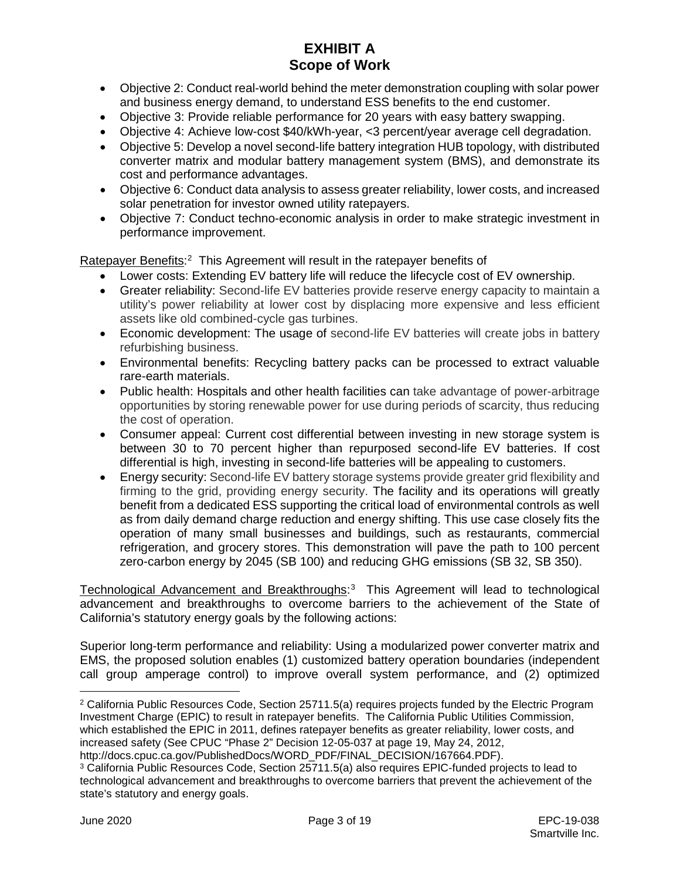- Objective 2: Conduct real-world behind the meter demonstration coupling with solar power and business energy demand, to understand ESS benefits to the end customer.
- Objective 3: Provide reliable performance for 20 years with easy battery swapping.
- Objective 4: Achieve low-cost \$40/kWh-year, <3 percent/year average cell degradation.
- Objective 5: Develop a novel second-life battery integration HUB topology, with distributed converter matrix and modular battery management system (BMS), and demonstrate its cost and performance advantages.
- Objective 6: Conduct data analysis to assess greater reliability, lower costs, and increased solar penetration for investor owned utility ratepayers.
- Objective 7: Conduct techno-economic analysis in order to make strategic investment in performance improvement.

Ratepayer Benefits:<sup>[2](#page-5-0)</sup> This Agreement will result in the ratepayer benefits of

- Lower costs: Extending EV battery life will reduce the lifecycle cost of EV ownership.
- Greater reliability: Second-life EV batteries provide reserve energy capacity to maintain a utility's power reliability at lower cost by displacing more expensive and less efficient assets like old combined-cycle gas turbines.
- Economic development: The usage of second-life EV batteries will create jobs in battery refurbishing business.
- Environmental benefits: Recycling battery packs can be processed to extract valuable rare-earth materials.
- Public health: Hospitals and other health facilities can take advantage of power-arbitrage opportunities by storing renewable power for use during periods of scarcity, thus reducing the cost of operation.
- Consumer appeal: Current cost differential between investing in new storage system is between 30 to 70 percent higher than repurposed second-life EV batteries. If cost differential is high, investing in second-life batteries will be appealing to customers.
- Energy security: Second-life EV battery storage systems provide greater grid flexibility and firming to the grid, providing energy security. The facility and its operations will greatly benefit from a dedicated ESS supporting the critical load of environmental controls as well as from daily demand charge reduction and energy shifting. This use case closely fits the operation of many small businesses and buildings, such as restaurants, commercial refrigeration, and grocery stores. This demonstration will pave the path to 100 percent zero-carbon energy by 2045 (SB 100) and reducing GHG emissions (SB 32, SB 350).

Technological Advancement and Breakthroughs:<sup>[3](#page-5-1)</sup> This Agreement will lead to technological advancement and breakthroughs to overcome barriers to the achievement of the State of California's statutory energy goals by the following actions:

Superior long-term performance and reliability: Using a modularized power converter matrix and EMS, the proposed solution enables (1) customized battery operation boundaries (independent call group amperage control) to improve overall system performance, and (2) optimized

http://docs.cpuc.ca.gov/PublishedDocs/WORD\_PDF/FINAL\_DECISION/167664.PDF).

 $\overline{a}$ 

<span id="page-5-0"></span><sup>2</sup> California Public Resources Code, Section 25711.5(a) requires projects funded by the Electric Program Investment Charge (EPIC) to result in ratepayer benefits. The California Public Utilities Commission, which established the EPIC in 2011, defines ratepayer benefits as greater reliability, lower costs, and increased safety (See CPUC "Phase 2" Decision 12-05-037 at page 19, May 24, 2012,

<span id="page-5-1"></span><sup>3</sup> California Public Resources Code, Section 25711.5(a) also requires EPIC-funded projects to lead to technological advancement and breakthroughs to overcome barriers that prevent the achievement of the state's statutory and energy goals.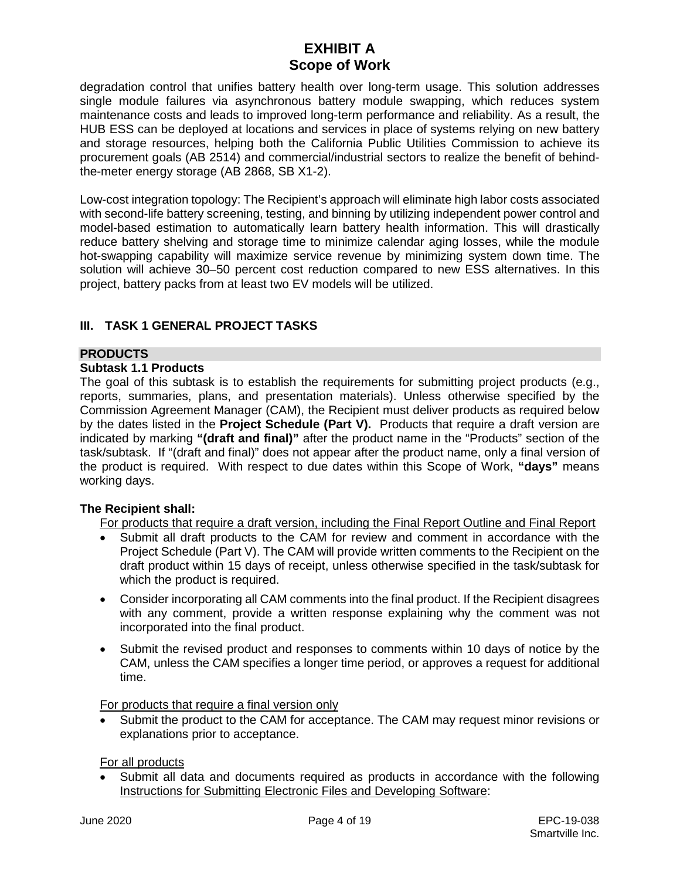degradation control that unifies battery health over long-term usage. This solution addresses single module failures via asynchronous battery module swapping, which reduces system maintenance costs and leads to improved long-term performance and reliability. As a result, the HUB ESS can be deployed at locations and services in place of systems relying on new battery and storage resources, helping both the California Public Utilities Commission to achieve its procurement goals (AB 2514) and commercial/industrial sectors to realize the benefit of behindthe-meter energy storage (AB 2868, SB X1-2).

Low-cost integration topology: The Recipient's approach will eliminate high labor costs associated with second-life battery screening, testing, and binning by utilizing independent power control and model-based estimation to automatically learn battery health information. This will drastically reduce battery shelving and storage time to minimize calendar aging losses, while the module hot-swapping capability will maximize service revenue by minimizing system down time. The solution will achieve 30–50 percent cost reduction compared to new ESS alternatives. In this project, battery packs from at least two EV models will be utilized.

# **III. TASK 1 GENERAL PROJECT TASKS**

#### **PRODUCTS**

#### **Subtask 1.1 Products**

The goal of this subtask is to establish the requirements for submitting project products (e.g., reports, summaries, plans, and presentation materials). Unless otherwise specified by the Commission Agreement Manager (CAM), the Recipient must deliver products as required below by the dates listed in the **Project Schedule (Part V).** Products that require a draft version are indicated by marking **"(draft and final)"** after the product name in the "Products" section of the task/subtask. If "(draft and final)" does not appear after the product name, only a final version of the product is required. With respect to due dates within this Scope of Work, **"days"** means working days.

# **The Recipient shall:**

For products that require a draft version, including the Final Report Outline and Final Report

- Submit all draft products to the CAM for review and comment in accordance with the Project Schedule (Part V). The CAM will provide written comments to the Recipient on the draft product within 15 days of receipt, unless otherwise specified in the task/subtask for which the product is required.
- Consider incorporating all CAM comments into the final product. If the Recipient disagrees with any comment, provide a written response explaining why the comment was not incorporated into the final product.
- Submit the revised product and responses to comments within 10 days of notice by the CAM, unless the CAM specifies a longer time period, or approves a request for additional time.

For products that require a final version only

• Submit the product to the CAM for acceptance. The CAM may request minor revisions or explanations prior to acceptance.

For all products

• Submit all data and documents required as products in accordance with the following Instructions for Submitting Electronic Files and Developing Software: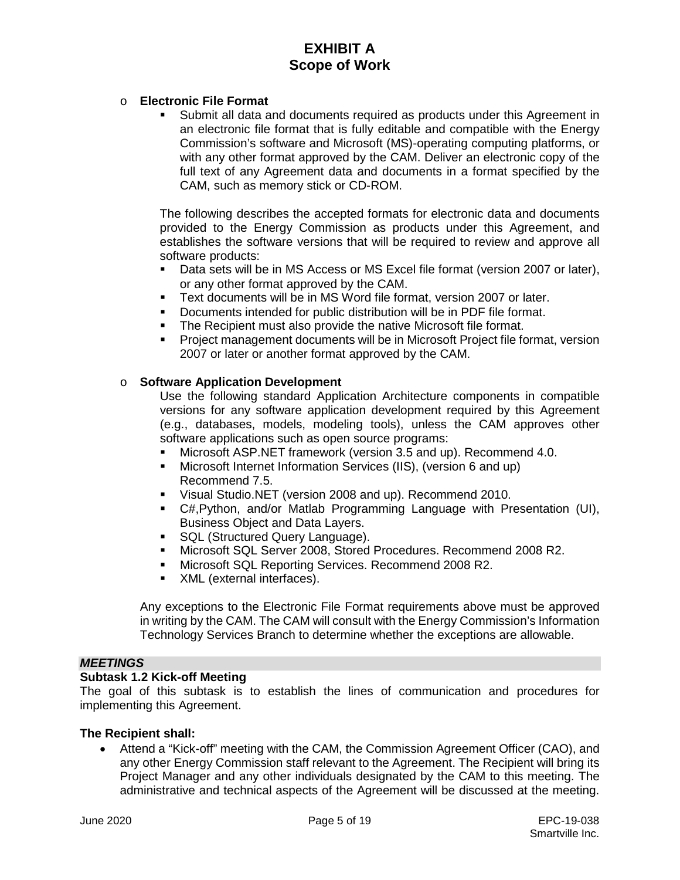# o **Electronic File Format**

 Submit all data and documents required as products under this Agreement in an electronic file format that is fully editable and compatible with the Energy Commission's software and Microsoft (MS)-operating computing platforms, or with any other format approved by the CAM. Deliver an electronic copy of the full text of any Agreement data and documents in a format specified by the CAM, such as memory stick or CD-ROM.

The following describes the accepted formats for electronic data and documents provided to the Energy Commission as products under this Agreement, and establishes the software versions that will be required to review and approve all software products:

- Data sets will be in MS Access or MS Excel file format (version 2007 or later), or any other format approved by the CAM.
- Text documents will be in MS Word file format, version 2007 or later.
- Documents intended for public distribution will be in PDF file format.
- **The Recipient must also provide the native Microsoft file format.**
- Project management documents will be in Microsoft Project file format, version 2007 or later or another format approved by the CAM.

#### o **Software Application Development**

Use the following standard Application Architecture components in compatible versions for any software application development required by this Agreement (e.g., databases, models, modeling tools), unless the CAM approves other software applications such as open source programs:

- Microsoft ASP.NET framework (version 3.5 and up). Recommend 4.0.
- Microsoft Internet Information Services (IIS), (version 6 and up) Recommend 7.5.
- Visual Studio.NET (version 2008 and up). Recommend 2010.
- C#,Python, and/or Matlab Programming Language with Presentation (UI), Business Object and Data Layers.
- **SQL (Structured Query Language).**
- Microsoft SQL Server 2008, Stored Procedures. Recommend 2008 R2.
- Microsoft SQL Reporting Services. Recommend 2008 R2.
- XML (external interfaces).

Any exceptions to the Electronic File Format requirements above must be approved in writing by the CAM. The CAM will consult with the Energy Commission's Information Technology Services Branch to determine whether the exceptions are allowable.

# *MEETINGS*

#### **Subtask 1.2 Kick-off Meeting**

The goal of this subtask is to establish the lines of communication and procedures for implementing this Agreement.

#### **The Recipient shall:**

• Attend a "Kick-off" meeting with the CAM, the Commission Agreement Officer (CAO), and any other Energy Commission staff relevant to the Agreement. The Recipient will bring its Project Manager and any other individuals designated by the CAM to this meeting. The administrative and technical aspects of the Agreement will be discussed at the meeting.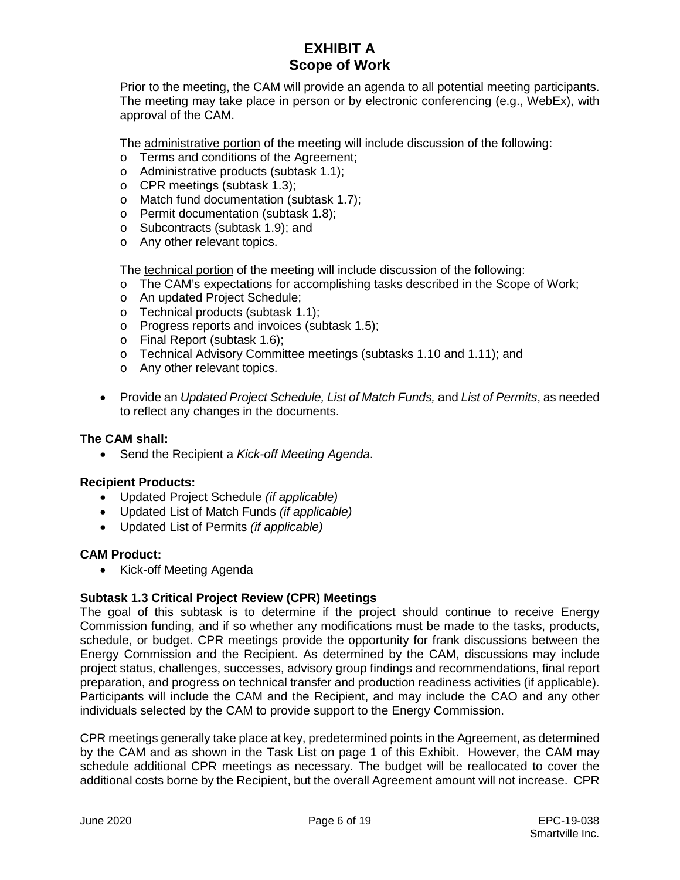Prior to the meeting, the CAM will provide an agenda to all potential meeting participants. The meeting may take place in person or by electronic conferencing (e.g., WebEx), with approval of the CAM.

The administrative portion of the meeting will include discussion of the following:

- o Terms and conditions of the Agreement;
- o Administrative products (subtask 1.1);
- o CPR meetings (subtask 1.3);
- o Match fund documentation (subtask 1.7);
- o Permit documentation (subtask 1.8);
- o Subcontracts (subtask 1.9); and
- o Any other relevant topics.

The technical portion of the meeting will include discussion of the following:

- o The CAM's expectations for accomplishing tasks described in the Scope of Work;
- o An updated Project Schedule;
- o Technical products (subtask 1.1);
- o Progress reports and invoices (subtask 1.5);
- o Final Report (subtask 1.6);
- o Technical Advisory Committee meetings (subtasks 1.10 and 1.11); and
- o Any other relevant topics.
- Provide an *Updated Project Schedule, List of Match Funds,* and *List of Permits*, as needed to reflect any changes in the documents.

#### **The CAM shall:**

• Send the Recipient a *Kick-off Meeting Agenda*.

#### **Recipient Products:**

- Updated Project Schedule *(if applicable)*
- Updated List of Match Funds *(if applicable)*
- Updated List of Permits *(if applicable)*

#### **CAM Product:**

• Kick-off Meeting Agenda

#### **Subtask 1.3 Critical Project Review (CPR) Meetings**

The goal of this subtask is to determine if the project should continue to receive Energy Commission funding, and if so whether any modifications must be made to the tasks, products, schedule, or budget. CPR meetings provide the opportunity for frank discussions between the Energy Commission and the Recipient. As determined by the CAM, discussions may include project status, challenges, successes, advisory group findings and recommendations, final report preparation, and progress on technical transfer and production readiness activities (if applicable). Participants will include the CAM and the Recipient, and may include the CAO and any other individuals selected by the CAM to provide support to the Energy Commission.

CPR meetings generally take place at key, predetermined points in the Agreement, as determined by the CAM and as shown in the Task List on page 1 of this Exhibit. However, the CAM may schedule additional CPR meetings as necessary. The budget will be reallocated to cover the additional costs borne by the Recipient, but the overall Agreement amount will not increase. CPR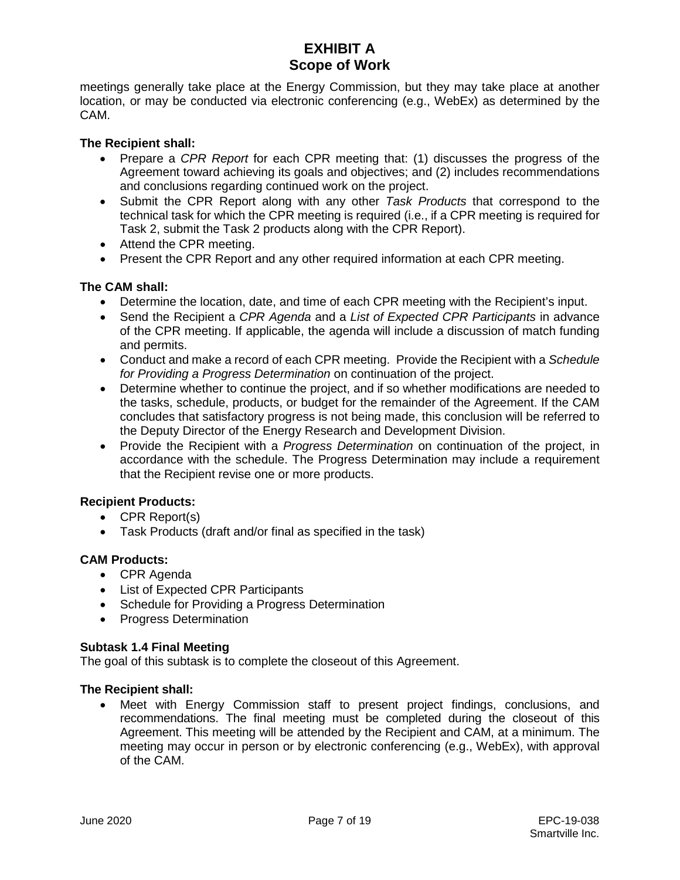meetings generally take place at the Energy Commission, but they may take place at another location, or may be conducted via electronic conferencing (e.g., WebEx) as determined by the CAM.

#### **The Recipient shall:**

- Prepare a *CPR Report* for each CPR meeting that: (1) discusses the progress of the Agreement toward achieving its goals and objectives; and (2) includes recommendations and conclusions regarding continued work on the project.
- Submit the CPR Report along with any other *Task Products* that correspond to the technical task for which the CPR meeting is required (i.e., if a CPR meeting is required for Task 2, submit the Task 2 products along with the CPR Report).
- Attend the CPR meeting.
- Present the CPR Report and any other required information at each CPR meeting.

# **The CAM shall:**

- Determine the location, date, and time of each CPR meeting with the Recipient's input.
- Send the Recipient a *CPR Agenda* and a *List of Expected CPR Participants* in advance of the CPR meeting. If applicable, the agenda will include a discussion of match funding and permits.
- Conduct and make a record of each CPR meeting. Provide the Recipient with a *Schedule for Providing a Progress Determination* on continuation of the project.
- Determine whether to continue the project, and if so whether modifications are needed to the tasks, schedule, products, or budget for the remainder of the Agreement. If the CAM concludes that satisfactory progress is not being made, this conclusion will be referred to the Deputy Director of the Energy Research and Development Division.
- Provide the Recipient with a *Progress Determination* on continuation of the project, in accordance with the schedule. The Progress Determination may include a requirement that the Recipient revise one or more products.

# **Recipient Products:**

- CPR Report(s)
- Task Products (draft and/or final as specified in the task)

#### **CAM Products:**

- CPR Agenda
- List of Expected CPR Participants
- Schedule for Providing a Progress Determination
- Progress Determination

#### **Subtask 1.4 Final Meeting**

The goal of this subtask is to complete the closeout of this Agreement.

#### **The Recipient shall:**

• Meet with Energy Commission staff to present project findings, conclusions, and recommendations. The final meeting must be completed during the closeout of this Agreement. This meeting will be attended by the Recipient and CAM, at a minimum. The meeting may occur in person or by electronic conferencing (e.g., WebEx), with approval of the CAM.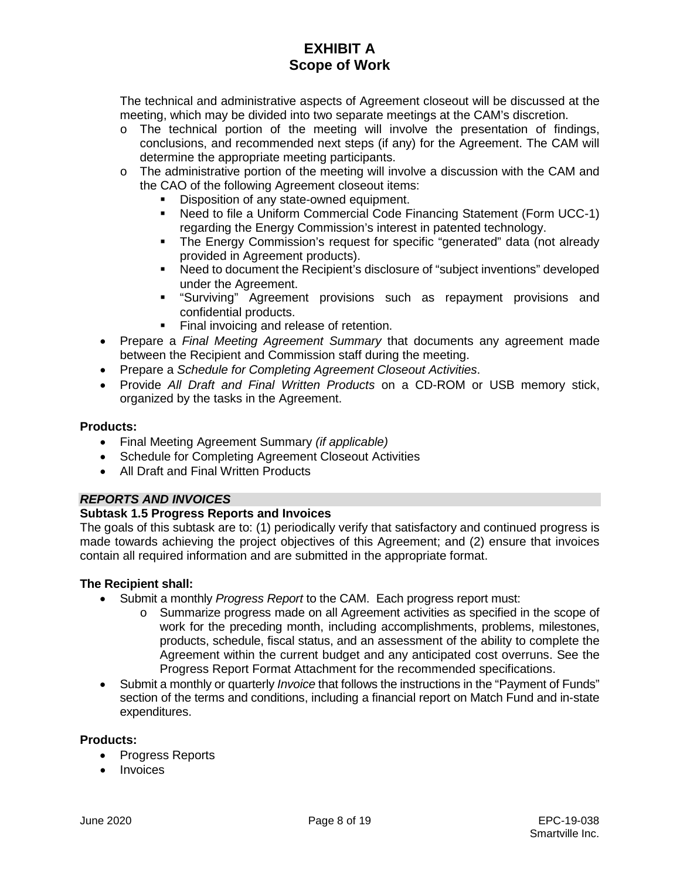The technical and administrative aspects of Agreement closeout will be discussed at the meeting, which may be divided into two separate meetings at the CAM's discretion.

- o The technical portion of the meeting will involve the presentation of findings, conclusions, and recommended next steps (if any) for the Agreement. The CAM will determine the appropriate meeting participants.
- o The administrative portion of the meeting will involve a discussion with the CAM and the CAO of the following Agreement closeout items:
	- Disposition of any state-owned equipment.
	- Need to file a Uniform Commercial Code Financing Statement (Form UCC-1) regarding the Energy Commission's interest in patented technology.
	- The Energy Commission's request for specific "generated" data (not already provided in Agreement products).
	- Need to document the Recipient's disclosure of "subject inventions" developed under the Agreement.
	- "Surviving" Agreement provisions such as repayment provisions and confidential products.
	- Final invoicing and release of retention.
- Prepare a *Final Meeting Agreement Summary* that documents any agreement made between the Recipient and Commission staff during the meeting.
- Prepare a *Schedule for Completing Agreement Closeout Activities*.
- Provide *All Draft and Final Written Products* on a CD-ROM or USB memory stick, organized by the tasks in the Agreement.

#### **Products:**

- Final Meeting Agreement Summary *(if applicable)*
- Schedule for Completing Agreement Closeout Activities
- All Draft and Final Written Products

# *REPORTS AND INVOICES*

# **Subtask 1.5 Progress Reports and Invoices**

The goals of this subtask are to: (1) periodically verify that satisfactory and continued progress is made towards achieving the project objectives of this Agreement; and (2) ensure that invoices contain all required information and are submitted in the appropriate format.

# **The Recipient shall:**

- Submit a monthly *Progress Report* to the CAM. Each progress report must:
	- o Summarize progress made on all Agreement activities as specified in the scope of work for the preceding month, including accomplishments, problems, milestones, products, schedule, fiscal status, and an assessment of the ability to complete the Agreement within the current budget and any anticipated cost overruns. See the Progress Report Format Attachment for the recommended specifications.
- Submit a monthly or quarterly *Invoice* that follows the instructions in the "Payment of Funds" section of the terms and conditions, including a financial report on Match Fund and in-state expenditures.

### **Products:**

- Progress Reports
- Invoices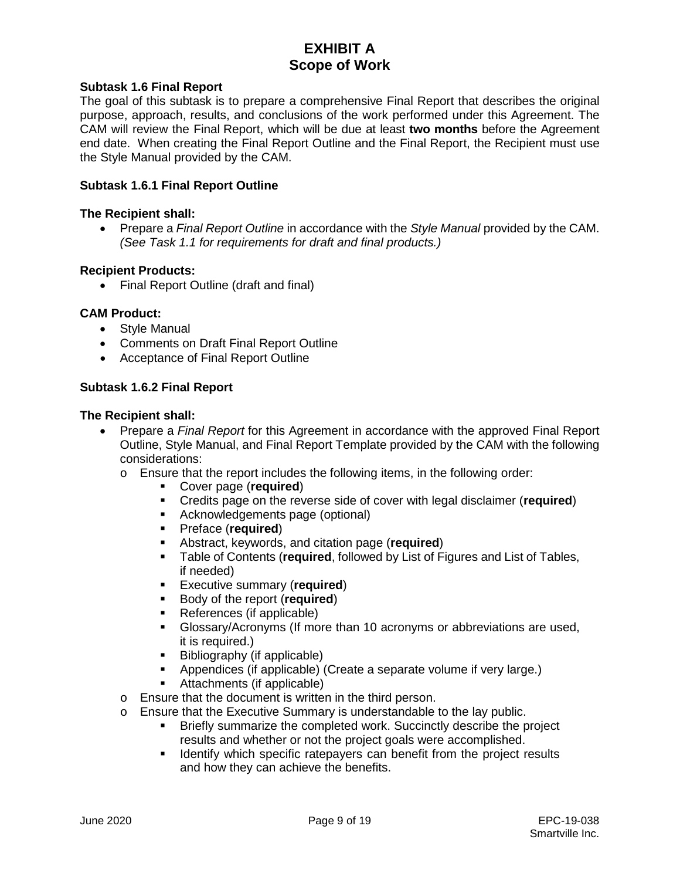#### **Subtask 1.6 Final Report**

The goal of this subtask is to prepare a comprehensive Final Report that describes the original purpose, approach, results, and conclusions of the work performed under this Agreement. The CAM will review the Final Report, which will be due at least **two months** before the Agreement end date. When creating the Final Report Outline and the Final Report, the Recipient must use the Style Manual provided by the CAM.

#### **Subtask 1.6.1 Final Report Outline**

#### **The Recipient shall:**

• Prepare a *Final Report Outline* in accordance with the *Style Manual* provided by the CAM. *(See Task 1.1 for requirements for draft and final products.)*

#### **Recipient Products:**

• Final Report Outline (draft and final)

#### **CAM Product:**

- Style Manual
- Comments on Draft Final Report Outline
- Acceptance of Final Report Outline

#### **Subtask 1.6.2 Final Report**

- Prepare a *Final Report* for this Agreement in accordance with the approved Final Report Outline, Style Manual, and Final Report Template provided by the CAM with the following considerations:
	- o Ensure that the report includes the following items, in the following order:
		- Cover page (**required**)
		- Credits page on the reverse side of cover with legal disclaimer (**required**)
		- Acknowledgements page (optional)
		- Preface (**required**)
		- Abstract, keywords, and citation page (**required**)
		- Table of Contents (**required**, followed by List of Figures and List of Tables, if needed)
		- **Executive summary (required)**<br>**EXECUTE:** Body of the report (required)
		- Body of the report (**required**)
		- References (if applicable)
		- Glossary/Acronyms (If more than 10 acronyms or abbreviations are used, it is required.)
		- Bibliography (if applicable)
		- Appendices (if applicable) (Create a separate volume if very large.)
		- Attachments (if applicable)
	- o Ensure that the document is written in the third person.
	- o Ensure that the Executive Summary is understandable to the lay public.<br>Briefly summarize the completed work. Succinctly describe the public.
		- Briefly summarize the completed work. Succinctly describe the project results and whether or not the project goals were accomplished.
		- **IDED** Identify which specific ratepayers can benefit from the project results and how they can achieve the benefits.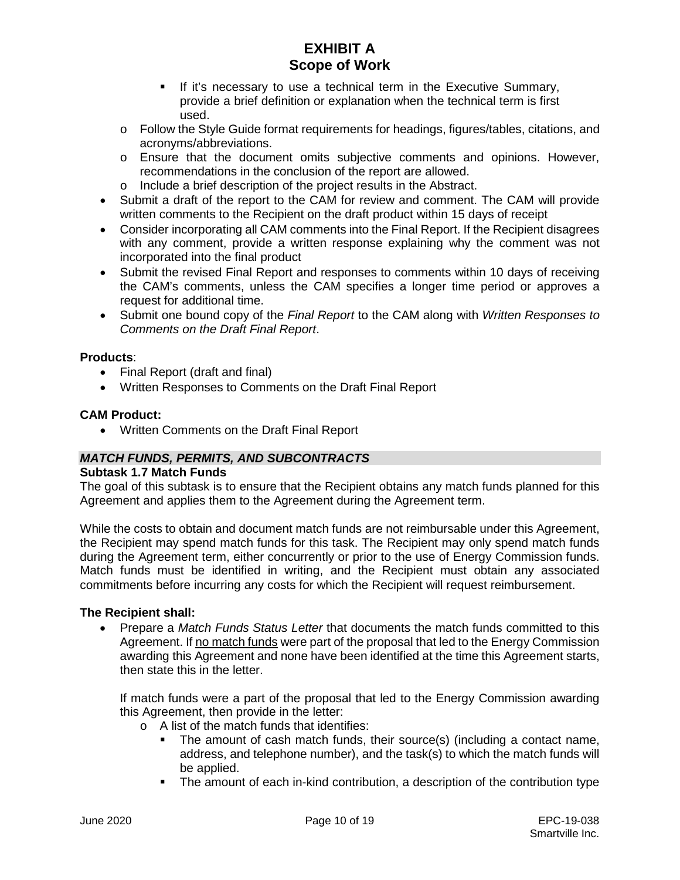- If it's necessary to use a technical term in the Executive Summary, provide a brief definition or explanation when the technical term is first used.
- o Follow the Style Guide format requirements for headings, figures/tables, citations, and acronyms/abbreviations.
- o Ensure that the document omits subjective comments and opinions. However, recommendations in the conclusion of the report are allowed.
- o Include a brief description of the project results in the Abstract.
- Submit a draft of the report to the CAM for review and comment. The CAM will provide written comments to the Recipient on the draft product within 15 days of receipt
- Consider incorporating all CAM comments into the Final Report. If the Recipient disagrees with any comment, provide a written response explaining why the comment was not incorporated into the final product
- Submit the revised Final Report and responses to comments within 10 days of receiving the CAM's comments, unless the CAM specifies a longer time period or approves a request for additional time.
- Submit one bound copy of the *Final Report* to the CAM along with *Written Responses to Comments on the Draft Final Report*.

# **Products**:

- Final Report (draft and final)
- Written Responses to Comments on the Draft Final Report

#### **CAM Product:**

• Written Comments on the Draft Final Report

# *MATCH FUNDS, PERMITS, AND SUBCONTRACTS*

#### **Subtask 1.7 Match Funds**

The goal of this subtask is to ensure that the Recipient obtains any match funds planned for this Agreement and applies them to the Agreement during the Agreement term.

While the costs to obtain and document match funds are not reimbursable under this Agreement, the Recipient may spend match funds for this task. The Recipient may only spend match funds during the Agreement term, either concurrently or prior to the use of Energy Commission funds. Match funds must be identified in writing, and the Recipient must obtain any associated commitments before incurring any costs for which the Recipient will request reimbursement.

#### **The Recipient shall:**

• Prepare a *Match Funds Status Letter* that documents the match funds committed to this Agreement. If no match funds were part of the proposal that led to the Energy Commission awarding this Agreement and none have been identified at the time this Agreement starts, then state this in the letter.

If match funds were a part of the proposal that led to the Energy Commission awarding this Agreement, then provide in the letter:

- o A list of the match funds that identifies:
	- The amount of cash match funds, their source(s) (including a contact name, address, and telephone number), and the task(s) to which the match funds will be applied.
	- The amount of each in-kind contribution, a description of the contribution type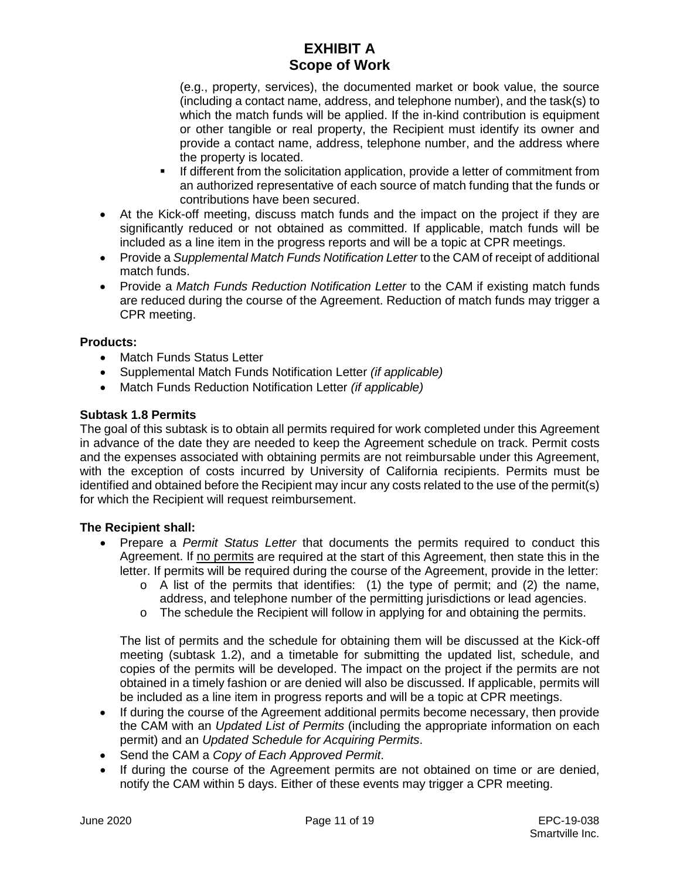(e.g., property, services), the documented market or book value, the source (including a contact name, address, and telephone number), and the task(s) to which the match funds will be applied. If the in-kind contribution is equipment or other tangible or real property, the Recipient must identify its owner and provide a contact name, address, telephone number, and the address where the property is located.

- **If different from the solicitation application, provide a letter of commitment from** an authorized representative of each source of match funding that the funds or contributions have been secured.
- At the Kick-off meeting, discuss match funds and the impact on the project if they are significantly reduced or not obtained as committed. If applicable, match funds will be included as a line item in the progress reports and will be a topic at CPR meetings.
- Provide a *Supplemental Match Funds Notification Letter* to the CAM of receipt of additional match funds.
- Provide a *Match Funds Reduction Notification Letter* to the CAM if existing match funds are reduced during the course of the Agreement. Reduction of match funds may trigger a CPR meeting.

# **Products:**

- Match Funds Status Letter
- Supplemental Match Funds Notification Letter *(if applicable)*
- Match Funds Reduction Notification Letter *(if applicable)*

# **Subtask 1.8 Permits**

The goal of this subtask is to obtain all permits required for work completed under this Agreement in advance of the date they are needed to keep the Agreement schedule on track. Permit costs and the expenses associated with obtaining permits are not reimbursable under this Agreement, with the exception of costs incurred by University of California recipients. Permits must be identified and obtained before the Recipient may incur any costs related to the use of the permit(s) for which the Recipient will request reimbursement.

# **The Recipient shall:**

- Prepare a *Permit Status Letter* that documents the permits required to conduct this Agreement. If no permits are required at the start of this Agreement, then state this in the letter. If permits will be required during the course of the Agreement, provide in the letter:
	- $\circ$  A list of the permits that identifies: (1) the type of permit; and (2) the name, address, and telephone number of the permitting jurisdictions or lead agencies.
	- $\circ$  The schedule the Recipient will follow in applying for and obtaining the permits.

The list of permits and the schedule for obtaining them will be discussed at the Kick-off meeting (subtask 1.2), and a timetable for submitting the updated list, schedule, and copies of the permits will be developed. The impact on the project if the permits are not obtained in a timely fashion or are denied will also be discussed. If applicable, permits will be included as a line item in progress reports and will be a topic at CPR meetings.

- If during the course of the Agreement additional permits become necessary, then provide the CAM with an *Updated List of Permits* (including the appropriate information on each permit) and an *Updated Schedule for Acquiring Permits*.
- Send the CAM a *Copy of Each Approved Permit*.
- If during the course of the Agreement permits are not obtained on time or are denied, notify the CAM within 5 days. Either of these events may trigger a CPR meeting.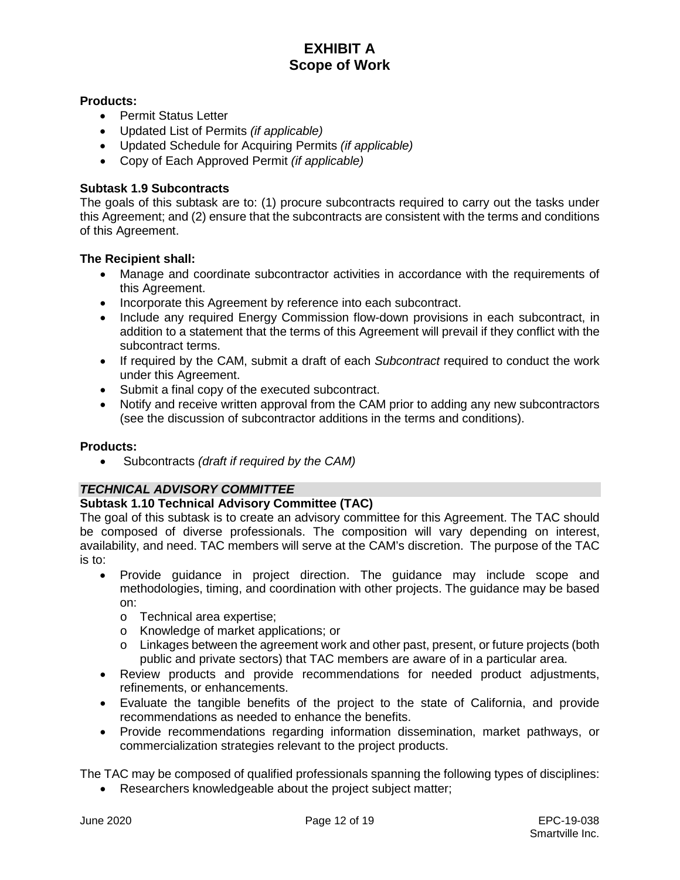### **Products:**

- Permit Status Letter
- Updated List of Permits *(if applicable)*
- Updated Schedule for Acquiring Permits *(if applicable)*
- Copy of Each Approved Permit *(if applicable)*

#### **Subtask 1.9 Subcontracts**

The goals of this subtask are to: (1) procure subcontracts required to carry out the tasks under this Agreement; and (2) ensure that the subcontracts are consistent with the terms and conditions of this Agreement.

#### **The Recipient shall:**

- Manage and coordinate subcontractor activities in accordance with the requirements of this Agreement.
- Incorporate this Agreement by reference into each subcontract.
- Include any required Energy Commission flow-down provisions in each subcontract, in addition to a statement that the terms of this Agreement will prevail if they conflict with the subcontract terms.
- If required by the CAM, submit a draft of each *Subcontract* required to conduct the work under this Agreement.
- Submit a final copy of the executed subcontract.
- Notify and receive written approval from the CAM prior to adding any new subcontractors (see the discussion of subcontractor additions in the terms and conditions).

#### **Products:**

• Subcontracts *(draft if required by the CAM)*

# *TECHNICAL ADVISORY COMMITTEE*

# **Subtask 1.10 Technical Advisory Committee (TAC)**

The goal of this subtask is to create an advisory committee for this Agreement. The TAC should be composed of diverse professionals. The composition will vary depending on interest, availability, and need. TAC members will serve at the CAM's discretion. The purpose of the TAC is to:

- Provide guidance in project direction. The guidance may include scope and methodologies, timing, and coordination with other projects. The guidance may be based on:
	- o Technical area expertise;
	- o Knowledge of market applications; or
	- o Linkages between the agreement work and other past, present, or future projects (both public and private sectors) that TAC members are aware of in a particular area.
- Review products and provide recommendations for needed product adjustments, refinements, or enhancements.
- Evaluate the tangible benefits of the project to the state of California, and provide recommendations as needed to enhance the benefits.
- Provide recommendations regarding information dissemination, market pathways, or commercialization strategies relevant to the project products.

The TAC may be composed of qualified professionals spanning the following types of disciplines: Researchers knowledgeable about the project subject matter;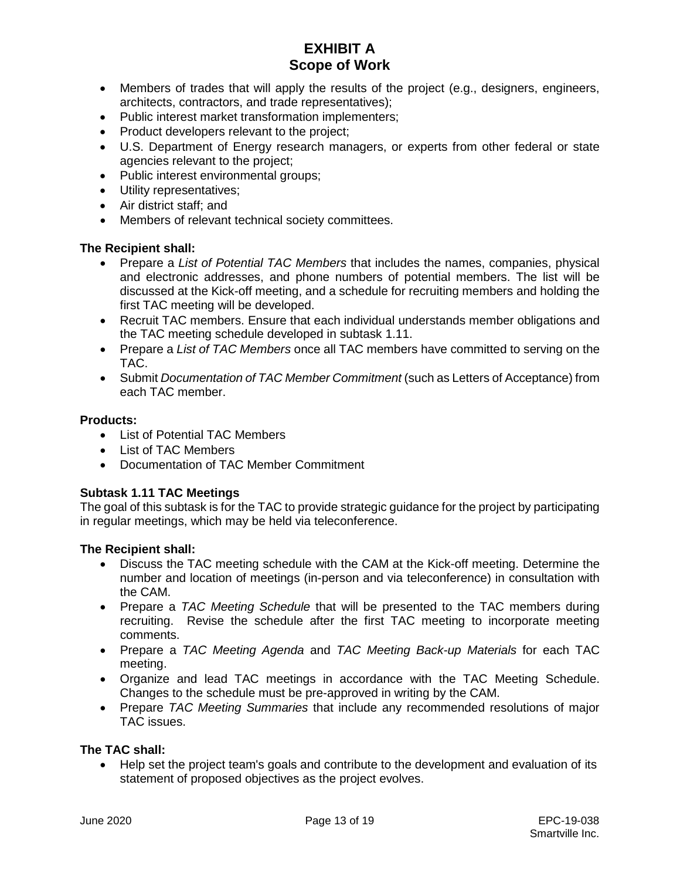- Members of trades that will apply the results of the project (e.g., designers, engineers, architects, contractors, and trade representatives);
- Public interest market transformation implementers;
- Product developers relevant to the project;
- U.S. Department of Energy research managers, or experts from other federal or state agencies relevant to the project;
- Public interest environmental groups;
- Utility representatives;
- Air district staff; and
- Members of relevant technical society committees.

# **The Recipient shall:**

- Prepare a *List of Potential TAC Members* that includes the names, companies, physical and electronic addresses, and phone numbers of potential members. The list will be discussed at the Kick-off meeting, and a schedule for recruiting members and holding the first TAC meeting will be developed.
- Recruit TAC members. Ensure that each individual understands member obligations and the TAC meeting schedule developed in subtask 1.11.
- Prepare a *List of TAC Members* once all TAC members have committed to serving on the TAC.
- Submit *Documentation of TAC Member Commitment* (such as Letters of Acceptance) from each TAC member.

#### **Products:**

- List of Potential TAC Members
- List of TAC Members
- Documentation of TAC Member Commitment

# **Subtask 1.11 TAC Meetings**

The goal of this subtask is for the TAC to provide strategic guidance for the project by participating in regular meetings, which may be held via teleconference.

#### **The Recipient shall:**

- Discuss the TAC meeting schedule with the CAM at the Kick-off meeting. Determine the number and location of meetings (in-person and via teleconference) in consultation with the CAM.
- Prepare a *TAC Meeting Schedule* that will be presented to the TAC members during recruiting. Revise the schedule after the first TAC meeting to incorporate meeting comments.
- Prepare a *TAC Meeting Agenda* and *TAC Meeting Back-up Materials* for each TAC meeting.
- Organize and lead TAC meetings in accordance with the TAC Meeting Schedule. Changes to the schedule must be pre-approved in writing by the CAM.
- Prepare *TAC Meeting Summaries* that include any recommended resolutions of major TAC issues.

# **The TAC shall:**

• Help set the project team's goals and contribute to the development and evaluation of its statement of proposed objectives as the project evolves.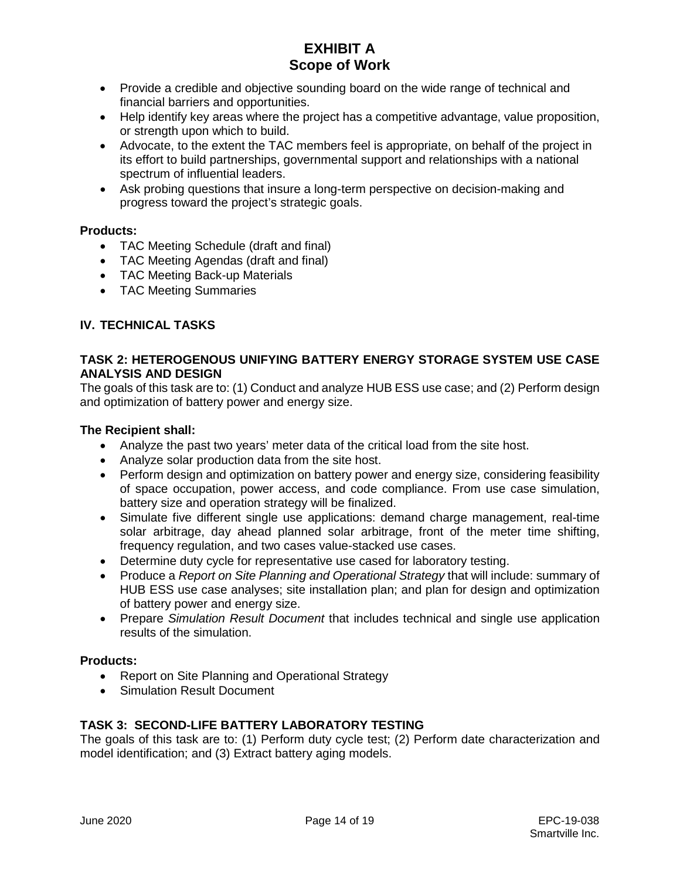- Provide a credible and objective sounding board on the wide range of technical and financial barriers and opportunities.
- Help identify key areas where the project has a competitive advantage, value proposition, or strength upon which to build.
- Advocate, to the extent the TAC members feel is appropriate, on behalf of the project in its effort to build partnerships, governmental support and relationships with a national spectrum of influential leaders.
- Ask probing questions that insure a long-term perspective on decision-making and progress toward the project's strategic goals.

# **Products:**

- TAC Meeting Schedule (draft and final)
- TAC Meeting Agendas (draft and final)
- TAC Meeting Back-up Materials
- TAC Meeting Summaries

# **IV. TECHNICAL TASKS**

# **TASK 2: HETEROGENOUS UNIFYING BATTERY ENERGY STORAGE SYSTEM USE CASE ANALYSIS AND DESIGN**

The goals of this task are to: (1) Conduct and analyze HUB ESS use case; and (2) Perform design and optimization of battery power and energy size.

#### **The Recipient shall:**

- Analyze the past two years' meter data of the critical load from the site host.
- Analyze solar production data from the site host.
- Perform design and optimization on battery power and energy size, considering feasibility of space occupation, power access, and code compliance. From use case simulation, battery size and operation strategy will be finalized.
- Simulate five different single use applications: demand charge management, real-time solar arbitrage, day ahead planned solar arbitrage, front of the meter time shifting, frequency regulation, and two cases value-stacked use cases.
- Determine duty cycle for representative use cased for laboratory testing.
- Produce a *Report on Site Planning and Operational Strategy* that will include: summary of HUB ESS use case analyses; site installation plan; and plan for design and optimization of battery power and energy size.
- Prepare *Simulation Result Document* that includes technical and single use application results of the simulation.

#### **Products:**

- Report on Site Planning and Operational Strategy
- Simulation Result Document

# **TASK 3: SECOND-LIFE BATTERY LABORATORY TESTING**

The goals of this task are to: (1) Perform duty cycle test; (2) Perform date characterization and model identification; and (3) Extract battery aging models.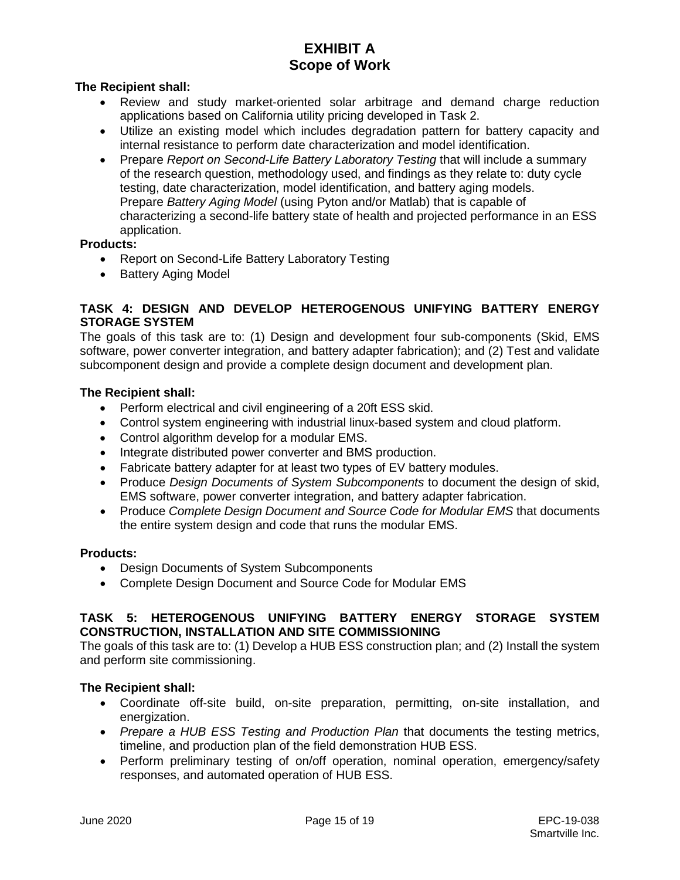### **The Recipient shall:**

- Review and study market-oriented solar arbitrage and demand charge reduction applications based on California utility pricing developed in Task 2.
- Utilize an existing model which includes degradation pattern for battery capacity and internal resistance to perform date characterization and model identification.
- Prepare *Report on Second-Life Battery Laboratory Testing* that will include a summary of the research question, methodology used, and findings as they relate to: duty cycle testing, date characterization, model identification, and battery aging models. Prepare *Battery Aging Model* (using Pyton and/or Matlab) that is capable of characterizing a second-life battery state of health and projected performance in an ESS application.

#### **Products:**

- Report on Second-Life Battery Laboratory Testing
- Battery Aging Model

# **TASK 4: DESIGN AND DEVELOP HETEROGENOUS UNIFYING BATTERY ENERGY STORAGE SYSTEM**

The goals of this task are to: (1) Design and development four sub-components (Skid, EMS software, power converter integration, and battery adapter fabrication); and (2) Test and validate subcomponent design and provide a complete design document and development plan.

#### **The Recipient shall:**

- Perform electrical and civil engineering of a 20ft ESS skid.
- Control system engineering with industrial linux-based system and cloud platform.
- Control algorithm develop for a modular EMS.
- Integrate distributed power converter and BMS production.
- Fabricate battery adapter for at least two types of EV battery modules.
- Produce *Design Documents of System Subcomponents* to document the design of skid, EMS software, power converter integration, and battery adapter fabrication.
- Produce *Complete Design Document and Source Code for Modular EMS* that documents the entire system design and code that runs the modular EMS.

#### **Products:**

- Design Documents of System Subcomponents
- Complete Design Document and Source Code for Modular EMS

# **TASK 5: HETEROGENOUS UNIFYING BATTERY ENERGY STORAGE SYSTEM CONSTRUCTION, INSTALLATION AND SITE COMMISSIONING**

The goals of this task are to: (1) Develop a HUB ESS construction plan; and (2) Install the system and perform site commissioning.

- Coordinate off-site build, on-site preparation, permitting, on-site installation, and energization.
- *Prepare a HUB ESS Testing and Production Plan* that documents the testing metrics, timeline, and production plan of the field demonstration HUB ESS.
- Perform preliminary testing of on/off operation, nominal operation, emergency/safety responses, and automated operation of HUB ESS.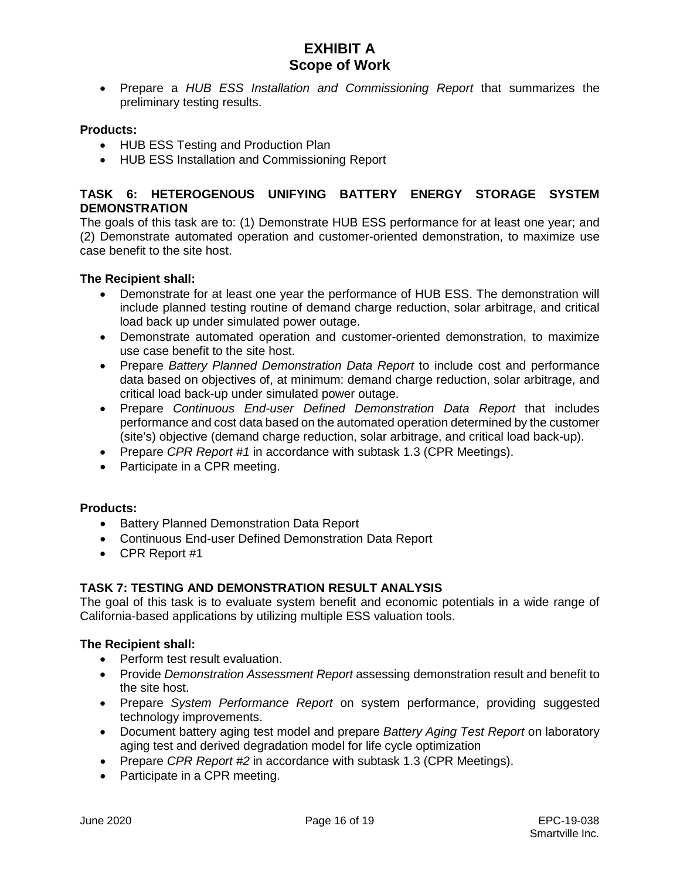• Prepare a *HUB ESS Installation and Commissioning Report* that summarizes the preliminary testing results.

#### **Products:**

- HUB ESS Testing and Production Plan
- HUB ESS Installation and Commissioning Report

### **TASK 6: HETEROGENOUS UNIFYING BATTERY ENERGY STORAGE SYSTEM DEMONSTRATION**

The goals of this task are to: (1) Demonstrate HUB ESS performance for at least one year; and (2) Demonstrate automated operation and customer-oriented demonstration, to maximize use case benefit to the site host.

#### **The Recipient shall:**

- Demonstrate for at least one year the performance of HUB ESS. The demonstration will include planned testing routine of demand charge reduction, solar arbitrage, and critical load back up under simulated power outage.
- Demonstrate automated operation and customer-oriented demonstration, to maximize use case benefit to the site host.
- Prepare *Battery Planned Demonstration Data Report* to include cost and performance data based on objectives of, at minimum: demand charge reduction, solar arbitrage, and critical load back-up under simulated power outage.
- Prepare *Continuous End-user Defined Demonstration Data Report* that includes performance and cost data based on the automated operation determined by the customer (site's) objective (demand charge reduction, solar arbitrage, and critical load back-up).
- Prepare *CPR Report #1* in accordance with subtask 1.3 (CPR Meetings).
- Participate in a CPR meeting.

#### **Products:**

- Battery Planned Demonstration Data Report
- Continuous End-user Defined Demonstration Data Report
- CPR Report #1

#### **TASK 7: TESTING AND DEMONSTRATION RESULT ANALYSIS**

The goal of this task is to evaluate system benefit and economic potentials in a wide range of California-based applications by utilizing multiple ESS valuation tools.

- Perform test result evaluation.
- Provide *Demonstration Assessment Report* assessing demonstration result and benefit to the site host.
- Prepare *System Performance Report* on system performance, providing suggested technology improvements.
- Document battery aging test model and prepare *Battery Aging Test Report* on laboratory aging test and derived degradation model for life cycle optimization
- Prepare *CPR Report #2* in accordance with subtask 1.3 (CPR Meetings).
- Participate in a CPR meeting.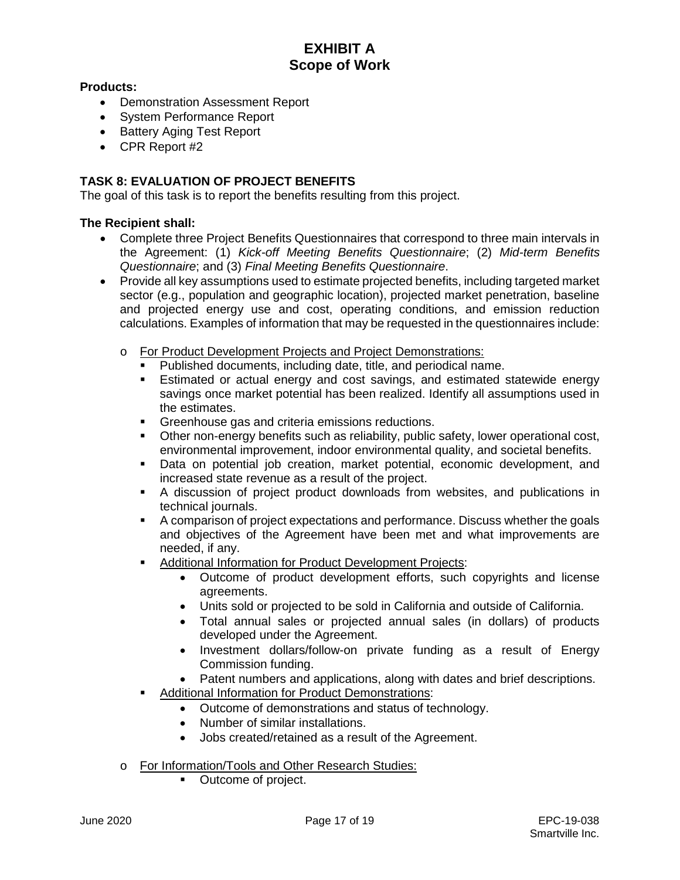# **Products:**

- Demonstration Assessment Report
- System Performance Report
- Battery Aging Test Report
- CPR Report #2

# **TASK 8: EVALUATION OF PROJECT BENEFITS**

The goal of this task is to report the benefits resulting from this project.

- Complete three Project Benefits Questionnaires that correspond to three main intervals in the Agreement: (1) *Kick-off Meeting Benefits Questionnaire*; (2) *Mid-term Benefits Questionnaire*; and (3) *Final Meeting Benefits Questionnaire*.
- Provide all key assumptions used to estimate projected benefits, including targeted market sector (e.g., population and geographic location), projected market penetration, baseline and projected energy use and cost, operating conditions, and emission reduction calculations. Examples of information that may be requested in the questionnaires include:
	- o For Product Development Projects and Project Demonstrations:
		- Published documents, including date, title, and periodical name.
		- Estimated or actual energy and cost savings, and estimated statewide energy savings once market potential has been realized. Identify all assumptions used in the estimates.
		- **Greenhouse gas and criteria emissions reductions.**
		- Other non-energy benefits such as reliability, public safety, lower operational cost, environmental improvement, indoor environmental quality, and societal benefits.
		- Data on potential job creation, market potential, economic development, and increased state revenue as a result of the project.
		- A discussion of project product downloads from websites, and publications in technical journals.
		- A comparison of project expectations and performance. Discuss whether the goals and objectives of the Agreement have been met and what improvements are needed, if any.
		- Additional Information for Product Development Projects:
			- Outcome of product development efforts, such copyrights and license agreements.
			- Units sold or projected to be sold in California and outside of California.
			- Total annual sales or projected annual sales (in dollars) of products developed under the Agreement.
			- Investment dollars/follow-on private funding as a result of Energy Commission funding.
			- Patent numbers and applications, along with dates and brief descriptions.
		- Additional Information for Product Demonstrations:
			- Outcome of demonstrations and status of technology.
			- Number of similar installations.
			- Jobs created/retained as a result of the Agreement.
	- o For Information/Tools and Other Research Studies:
		- Outcome of project.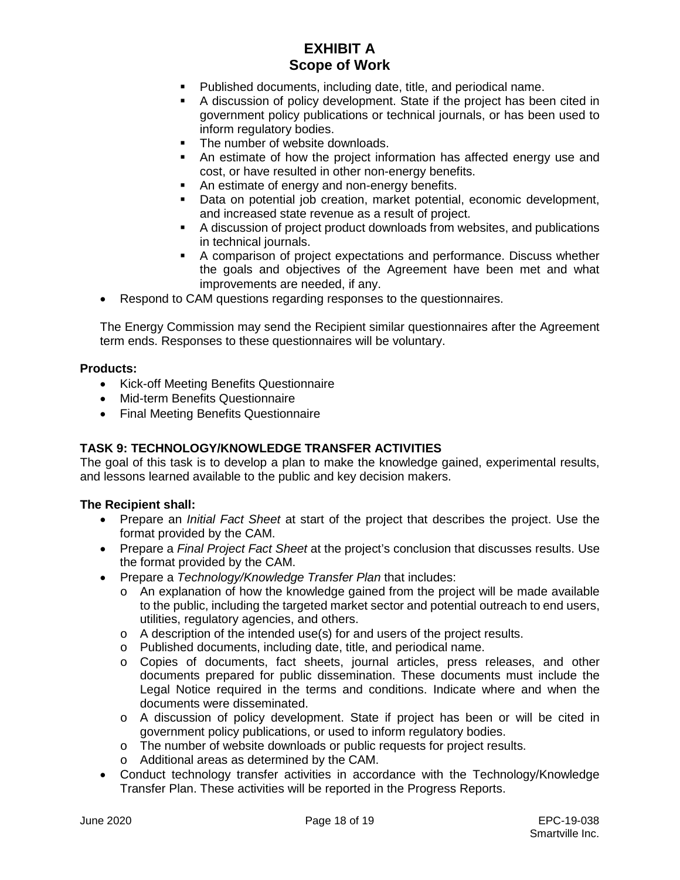- Published documents, including date, title, and periodical name.
- A discussion of policy development. State if the project has been cited in government policy publications or technical journals, or has been used to inform regulatory bodies.
- The number of website downloads.
- An estimate of how the project information has affected energy use and cost, or have resulted in other non-energy benefits.
- An estimate of energy and non-energy benefits.
- Data on potential job creation, market potential, economic development, and increased state revenue as a result of project.
- A discussion of project product downloads from websites, and publications in technical journals.
- A comparison of project expectations and performance. Discuss whether the goals and objectives of the Agreement have been met and what improvements are needed, if any.
- Respond to CAM questions regarding responses to the questionnaires.

The Energy Commission may send the Recipient similar questionnaires after the Agreement term ends. Responses to these questionnaires will be voluntary.

#### **Products:**

- Kick-off Meeting Benefits Questionnaire
- Mid-term Benefits Questionnaire
- Final Meeting Benefits Questionnaire

# **TASK 9: TECHNOLOGY/KNOWLEDGE TRANSFER ACTIVITIES**

The goal of this task is to develop a plan to make the knowledge gained, experimental results, and lessons learned available to the public and key decision makers.

- Prepare an *Initial Fact Sheet* at start of the project that describes the project. Use the format provided by the CAM.
- Prepare a *Final Project Fact Sheet* at the project's conclusion that discusses results. Use the format provided by the CAM.
- Prepare a *Technology/Knowledge Transfer Plan* that includes:
	- $\circ$  An explanation of how the knowledge gained from the project will be made available to the public, including the targeted market sector and potential outreach to end users, utilities, regulatory agencies, and others.
	- o A description of the intended use(s) for and users of the project results.
	- o Published documents, including date, title, and periodical name.
	- o Copies of documents, fact sheets, journal articles, press releases, and other documents prepared for public dissemination. These documents must include the Legal Notice required in the terms and conditions. Indicate where and when the documents were disseminated.
	- o A discussion of policy development. State if project has been or will be cited in government policy publications, or used to inform regulatory bodies.
	- o The number of website downloads or public requests for project results.
	- o Additional areas as determined by the CAM.
- Conduct technology transfer activities in accordance with the Technology/Knowledge Transfer Plan. These activities will be reported in the Progress Reports.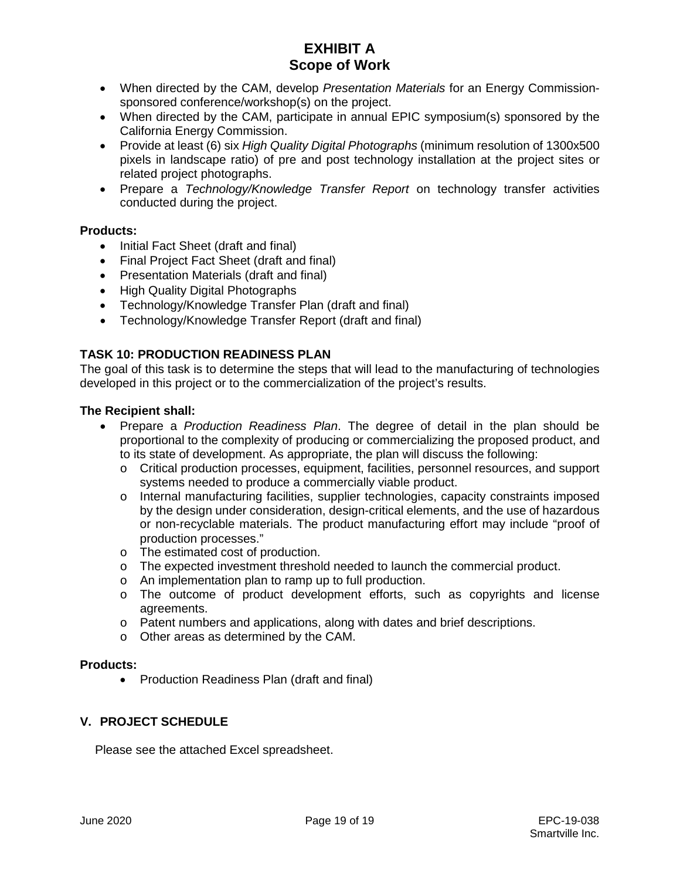- When directed by the CAM, develop *Presentation Materials* for an Energy Commissionsponsored conference/workshop(s) on the project.
- When directed by the CAM, participate in annual EPIC symposium(s) sponsored by the California Energy Commission.
- Provide at least (6) six *High Quality Digital Photographs* (minimum resolution of 1300x500 pixels in landscape ratio) of pre and post technology installation at the project sites or related project photographs.
- Prepare a *Technology/Knowledge Transfer Report* on technology transfer activities conducted during the project.

# **Products:**

- Initial Fact Sheet (draft and final)
- Final Project Fact Sheet (draft and final)
- Presentation Materials (draft and final)
- High Quality Digital Photographs
- Technology/Knowledge Transfer Plan (draft and final)
- Technology/Knowledge Transfer Report (draft and final)

# **TASK 10: PRODUCTION READINESS PLAN**

The goal of this task is to determine the steps that will lead to the manufacturing of technologies developed in this project or to the commercialization of the project's results.

#### **The Recipient shall:**

- Prepare a *Production Readiness Plan*. The degree of detail in the plan should be proportional to the complexity of producing or commercializing the proposed product, and to its state of development. As appropriate, the plan will discuss the following:
	- o Critical production processes, equipment, facilities, personnel resources, and support systems needed to produce a commercially viable product.
	- o Internal manufacturing facilities, supplier technologies, capacity constraints imposed by the design under consideration, design-critical elements, and the use of hazardous or non-recyclable materials. The product manufacturing effort may include "proof of production processes."
	- o The estimated cost of production.
	- o The expected investment threshold needed to launch the commercial product.
	- o An implementation plan to ramp up to full production.
	- o The outcome of product development efforts, such as copyrights and license agreements.
	- o Patent numbers and applications, along with dates and brief descriptions.
	- o Other areas as determined by the CAM.

#### **Products:**

• Production Readiness Plan (draft and final)

# **V. PROJECT SCHEDULE**

Please see the attached Excel spreadsheet.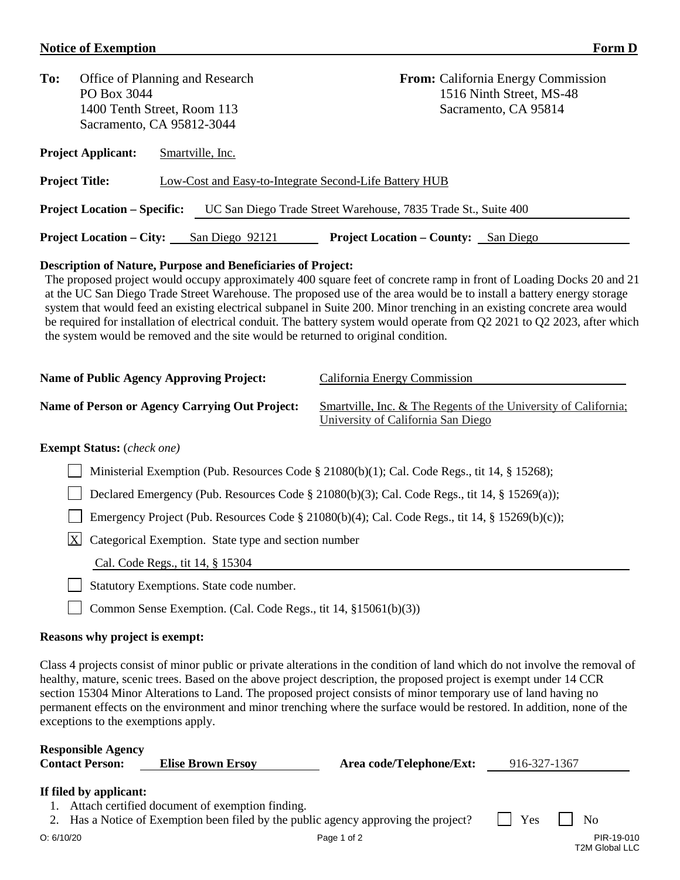### **Notice of Exemption**

| Ω<br>П<br>ı<br>п<br>ш |  |
|-----------------------|--|
|                       |  |

| To:                                                                                                                                                                                                                                                                                                                                                                                                                                                                                                                                                                                                                                                               | PO Box 3044<br>Sacramento, CA 95812-3044                                                              | Office of Planning and Research<br>1400 Tenth Street, Room 113 | From: California Energy Commission<br>1516 Ninth Street, MS-48<br>Sacramento, CA 95814                |  |  |
|-------------------------------------------------------------------------------------------------------------------------------------------------------------------------------------------------------------------------------------------------------------------------------------------------------------------------------------------------------------------------------------------------------------------------------------------------------------------------------------------------------------------------------------------------------------------------------------------------------------------------------------------------------------------|-------------------------------------------------------------------------------------------------------|----------------------------------------------------------------|-------------------------------------------------------------------------------------------------------|--|--|
|                                                                                                                                                                                                                                                                                                                                                                                                                                                                                                                                                                                                                                                                   | <b>Project Applicant:</b>                                                                             | Smartville, Inc.                                               |                                                                                                       |  |  |
| <b>Project Title:</b>                                                                                                                                                                                                                                                                                                                                                                                                                                                                                                                                                                                                                                             |                                                                                                       | Low-Cost and Easy-to-Integrate Second-Life Battery HUB         |                                                                                                       |  |  |
|                                                                                                                                                                                                                                                                                                                                                                                                                                                                                                                                                                                                                                                                   | <b>Project Location – Specific:</b><br>UC San Diego Trade Street Warehouse, 7835 Trade St., Suite 400 |                                                                |                                                                                                       |  |  |
|                                                                                                                                                                                                                                                                                                                                                                                                                                                                                                                                                                                                                                                                   | <b>Project Location – City:</b>                                                                       | San Diego 92121                                                | <b>Project Location – County:</b> San Diego                                                           |  |  |
| <b>Description of Nature, Purpose and Beneficiaries of Project:</b><br>The proposed project would occupy approximately 400 square feet of concrete ramp in front of Loading Docks 20 and 21<br>at the UC San Diego Trade Street Warehouse. The proposed use of the area would be to install a battery energy storage<br>system that would feed an existing electrical subpanel in Suite 200. Minor trenching in an existing concrete area would<br>be required for installation of electrical conduit. The battery system would operate from Q2 2021 to Q2 2023, after which<br>the system would be removed and the site would be returned to original condition. |                                                                                                       |                                                                |                                                                                                       |  |  |
| <b>Name of Public Agency Approving Project:</b>                                                                                                                                                                                                                                                                                                                                                                                                                                                                                                                                                                                                                   |                                                                                                       |                                                                | California Energy Commission                                                                          |  |  |
| Name of Person or Agency Carrying Out Project:                                                                                                                                                                                                                                                                                                                                                                                                                                                                                                                                                                                                                    |                                                                                                       |                                                                | Smartville, Inc. & The Regents of the University of California;<br>University of California San Diego |  |  |
|                                                                                                                                                                                                                                                                                                                                                                                                                                                                                                                                                                                                                                                                   | $From part Q$                                                                                         |                                                                |                                                                                                       |  |  |

#### **Exempt Status:** (*check one)*

■ Ministerial Exemption (Pub. Resources Code § 21080(b)(1); Cal. Code Regs., tit 14, § 15268);

□ Declared Emergency (Pub. Resources Code § 21080(b)(3); Cal. Code Regs., tit 14, § 15269(a));

Emergency Project (Pub. Resources Code § 21080(b)(4); Cal. Code Regs., tit 14, § 15269(b)(c));

 $\overline{X}$  Categorical Exemption. State type and section number

Cal. Code Regs., tit 14, § 15304

Statutory Exemptions. State code number.

Common Sense Exemption. (Cal. Code Regs., tit 14, §15061(b)(3))

#### **Reasons why project is exempt:**

Class 4 projects consist of minor public or private alterations in the condition of land which do not involve the removal of healthy, mature, scenic trees. Based on the above project description, the proposed project is exempt under 14 CCR section 15304 Minor Alterations to Land. The proposed project consists of minor temporary use of land having no permanent effects on the environment and minor trenching where the surface would be restored. In addition, none of the exceptions to the exemptions apply.

| <b>Responsible Agency</b><br><b>Contact Person:</b> | <b>Elise Brown Ersoy</b>                        | Area code/Telephone/Ext:                                                            | 916-327-1367 |                              |  |
|-----------------------------------------------------|-------------------------------------------------|-------------------------------------------------------------------------------------|--------------|------------------------------|--|
| If filed by applicant:                              | Attach certified document of exemption finding. | 2. Has a Notice of Exemption been filed by the public agency approving the project? | Yes          | N <sub>0</sub>               |  |
| O: 6/10/20                                          |                                                 | Page 1 of 2                                                                         |              | PIR-19-010<br>T2M Global LLC |  |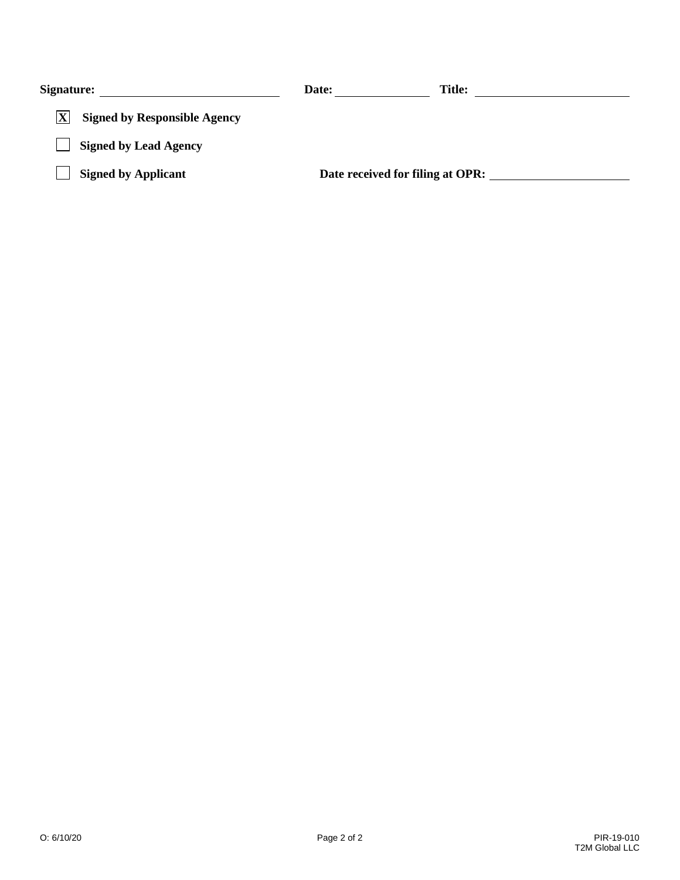| Signature:                          | Date:                            | Title: |
|-------------------------------------|----------------------------------|--------|
| <b>Signed by Responsible Agency</b> |                                  |        |
| <b>Signed by Lead Agency</b>        |                                  |        |
| <b>Signed by Applicant</b>          | Date received for filing at OPR: |        |